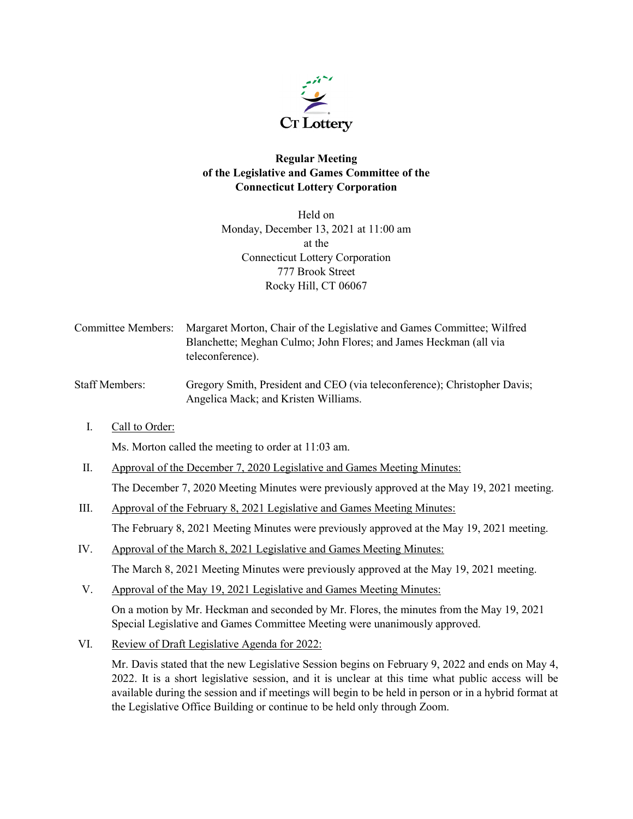

# **Regular Meeting of the Legislative and Games Committee of the Connecticut Lottery Corporation**

Held on Monday, December 13, 2021 at 11:00 am at the Connecticut Lottery Corporation 777 Brook Street Rocky Hill, CT 06067

- Committee Members: Margaret Morton, Chair of the Legislative and Games Committee; Wilfred Blanchette; Meghan Culmo; John Flores; and James Heckman (all via teleconference).
- Staff Members: Gregory Smith, President and CEO (via teleconference); Christopher Davis; Angelica Mack; and Kristen Williams.
	- I. Call to Order:

Ms. Morton called the meeting to order at 11:03 am.

- II. Approval of the December 7, 2020 Legislative and Games Meeting Minutes: The December 7, 2020 Meeting Minutes were previously approved at the May 19, 2021 meeting.
- III. Approval of the February 8, 2021 Legislative and Games Meeting Minutes: The February 8, 2021 Meeting Minutes were previously approved at the May 19, 2021 meeting.
- IV. Approval of the March 8, 2021 Legislative and Games Meeting Minutes: The March 8, 2021 Meeting Minutes were previously approved at the May 19, 2021 meeting.
- V. Approval of the May 19, 2021 Legislative and Games Meeting Minutes:

On a motion by Mr. Heckman and seconded by Mr. Flores, the minutes from the May 19, 2021 Special Legislative and Games Committee Meeting were unanimously approved.

VI. Review of Draft Legislative Agenda for 2022:

Mr. Davis stated that the new Legislative Session begins on February 9, 2022 and ends on May 4, 2022. It is a short legislative session, and it is unclear at this time what public access will be available during the session and if meetings will begin to be held in person or in a hybrid format at the Legislative Office Building or continue to be held only through Zoom.